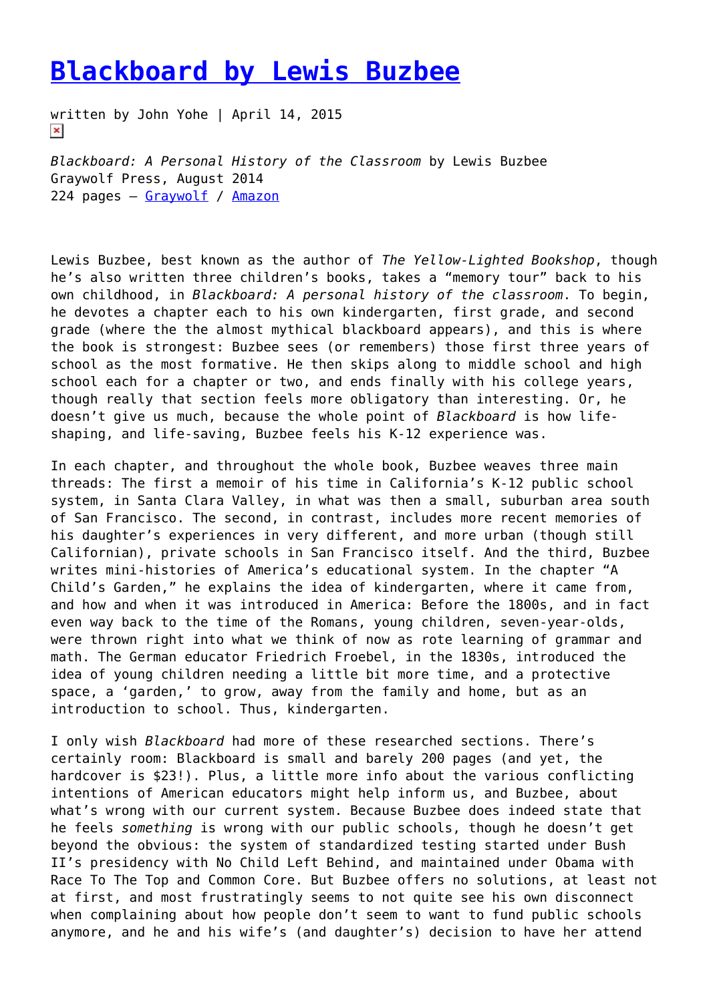## **[Blackboard by Lewis Buzbee](https://entropymag.org/blackboard-by-lewis-buzbee/)**

written by John Yohe | April 14, 2015  $\pmb{\times}$ 

*Blackboard: A Personal History of the Classroom* by Lewis Buzbee Graywolf Press, August 2014 224 pages – [Graywolf](https://www.graywolfpress.org/books/blackboard) / [Amazon](http://www.amazon.com/Blackboard-Personal-Classroom-Lewis-Buzbee/dp/1555976832/ref=sr_1_1?ie=UTF8&qid=1428321000&sr=8-1&keywords=blackboard+lewis+buzbee)

Lewis Buzbee, best known as the author of *The Yellow-Lighted Bookshop*, though he's also written three children's books, takes a "memory tour" back to his own childhood, in *Blackboard: A personal history of the classroom*. To begin, he devotes a chapter each to his own kindergarten, first grade, and second grade (where the the almost mythical blackboard appears), and this is where the book is strongest: Buzbee sees (or remembers) those first three years of school as the most formative. He then skips along to middle school and high school each for a chapter or two, and ends finally with his college years, though really that section feels more obligatory than interesting. Or, he doesn't give us much, because the whole point of *Blackboard* is how lifeshaping, and life-saving, Buzbee feels his K-12 experience was.

In each chapter, and throughout the whole book, Buzbee weaves three main threads: The first a memoir of his time in California's K-12 public school system, in Santa Clara Valley, in what was then a small, suburban area south of San Francisco. The second, in contrast, includes more recent memories of his daughter's experiences in very different, and more urban (though still Californian), private schools in San Francisco itself. And the third, Buzbee writes mini-histories of America's educational system. In the chapter "A Child's Garden," he explains the idea of kindergarten, where it came from, and how and when it was introduced in America: Before the 1800s, and in fact even way back to the time of the Romans, young children, seven-year-olds, were thrown right into what we think of now as rote learning of grammar and math. The German educator Friedrich Froebel, in the 1830s, introduced the idea of young children needing a little bit more time, and a protective space, a 'garden,' to grow, away from the family and home, but as an introduction to school. Thus, kindergarten.

I only wish *Blackboard* had more of these researched sections. There's certainly room: Blackboard is small and barely 200 pages (and yet, the hardcover is \$23!). Plus, a little more info about the various conflicting intentions of American educators might help inform us, and Buzbee, about what's wrong with our current system. Because Buzbee does indeed state that he feels *something* is wrong with our public schools, though he doesn't get beyond the obvious: the system of standardized testing started under Bush II's presidency with No Child Left Behind, and maintained under Obama with Race To The Top and Common Core. But Buzbee offers no solutions, at least not at first, and most frustratingly seems to not quite see his own disconnect when complaining about how people don't seem to want to fund public schools anymore, and he and his wife's (and daughter's) decision to have her attend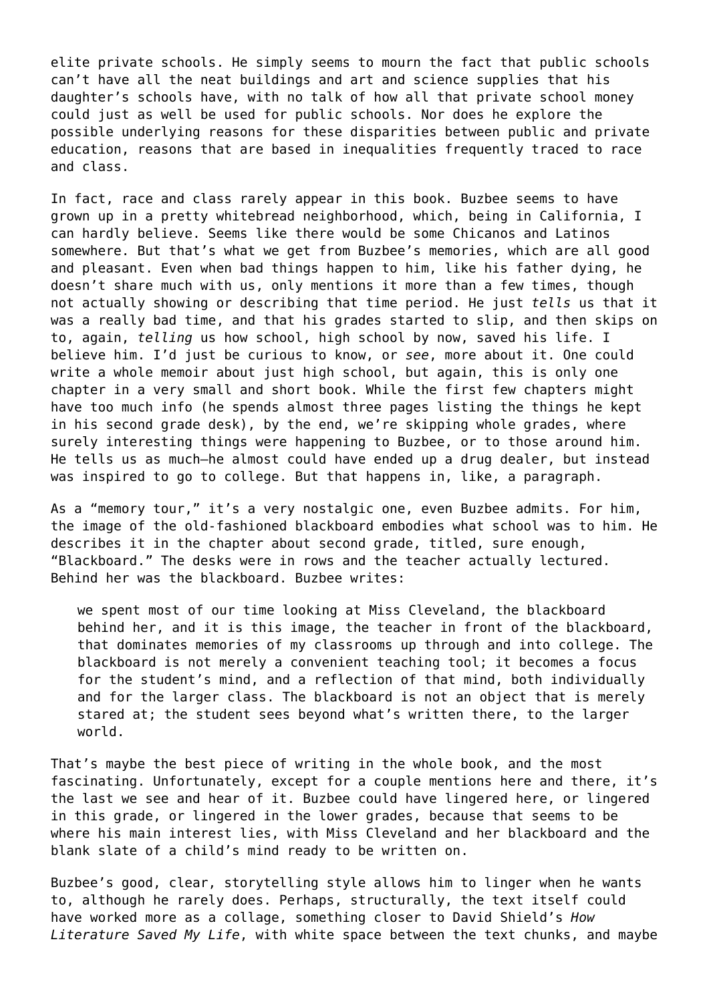elite private schools. He simply seems to mourn the fact that public schools can't have all the neat buildings and art and science supplies that his daughter's schools have, with no talk of how all that private school money could just as well be used for public schools. Nor does he explore the possible underlying reasons for these disparities between public and private education, reasons that are based in inequalities frequently traced to race and class.

In fact, race and class rarely appear in this book. Buzbee seems to have grown up in a pretty whitebread neighborhood, which, being in California, I can hardly believe. Seems like there would be some Chicanos and Latinos somewhere. But that's what we get from Buzbee's memories, which are all good and pleasant. Even when bad things happen to him, like his father dying, he doesn't share much with us, only mentions it more than a few times, though not actually showing or describing that time period. He just *tells* us that it was a really bad time, and that his grades started to slip, and then skips on to, again, *telling* us how school, high school by now, saved his life. I believe him. I'd just be curious to know, or *see*, more about it. One could write a whole memoir about just high school, but again, this is only one chapter in a very small and short book. While the first few chapters might have too much info (he spends almost three pages listing the things he kept in his second grade desk), by the end, we're skipping whole grades, where surely interesting things were happening to Buzbee, or to those around him. He tells us as much—he almost could have ended up a drug dealer, but instead was inspired to go to college. But that happens in, like, a paragraph.

As a "memory tour," it's a very nostalgic one, even Buzbee admits. For him, the image of the old-fashioned blackboard embodies what school was to him. He describes it in the chapter about second grade, titled, sure enough, "Blackboard." The desks were in rows and the teacher actually lectured. Behind her was the blackboard. Buzbee writes:

we spent most of our time looking at Miss Cleveland, the blackboard behind her, and it is this image, the teacher in front of the blackboard, that dominates memories of my classrooms up through and into college. The blackboard is not merely a convenient teaching tool; it becomes a focus for the student's mind, and a reflection of that mind, both individually and for the larger class. The blackboard is not an object that is merely stared at; the student sees beyond what's written there, to the larger world.

That's maybe the best piece of writing in the whole book, and the most fascinating. Unfortunately, except for a couple mentions here and there, it's the last we see and hear of it. Buzbee could have lingered here, or lingered in this grade, or lingered in the lower grades, because that seems to be where his main interest lies, with Miss Cleveland and her blackboard and the blank slate of a child's mind ready to be written on.

Buzbee's good, clear, storytelling style allows him to linger when he wants to, although he rarely does. Perhaps, structurally, the text itself could have worked more as a collage, something closer to David Shield's *How Literature Saved My Life*, with white space between the text chunks, and maybe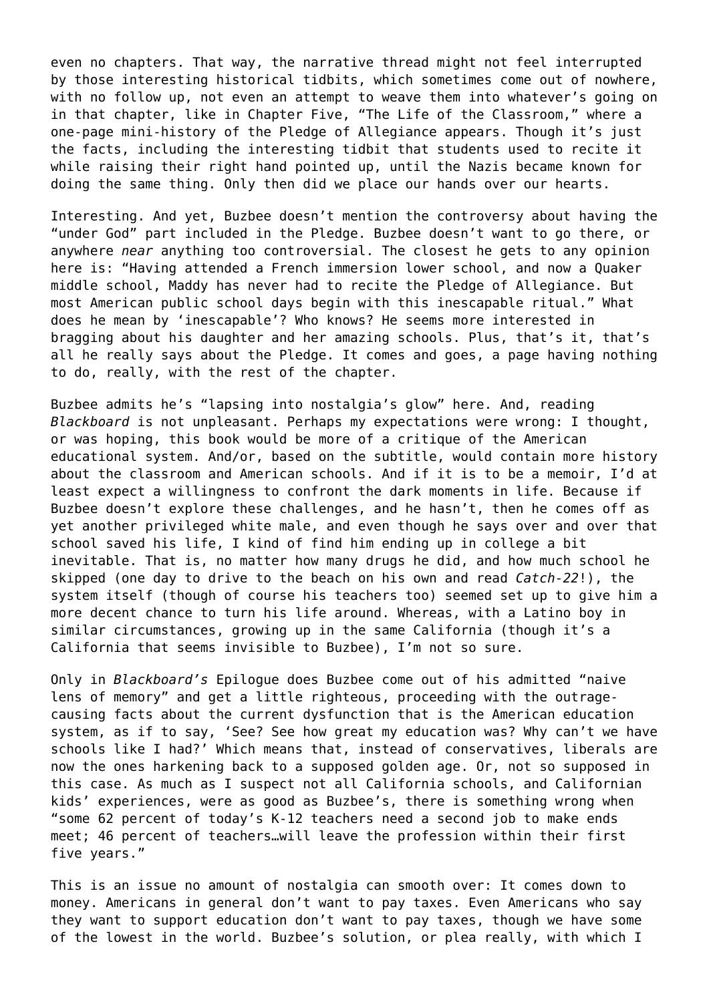even no chapters. That way, the narrative thread might not feel interrupted by those interesting historical tidbits, which sometimes come out of nowhere, with no follow up, not even an attempt to weave them into whatever's going on in that chapter, like in Chapter Five, "The Life of the Classroom," where a one-page mini-history of the Pledge of Allegiance appears. Though it's just the facts, including the interesting tidbit that students used to recite it while raising their right hand pointed up, until the Nazis became known for doing the same thing. Only then did we place our hands over our hearts.

Interesting. And yet, Buzbee doesn't mention the controversy about having the "under God" part included in the Pledge. Buzbee doesn't want to go there, or anywhere *near* anything too controversial. The closest he gets to any opinion here is: "Having attended a French immersion lower school, and now a Quaker middle school, Maddy has never had to recite the Pledge of Allegiance. But most American public school days begin with this inescapable ritual." What does he mean by 'inescapable'? Who knows? He seems more interested in bragging about his daughter and her amazing schools. Plus, that's it, that's all he really says about the Pledge. It comes and goes, a page having nothing to do, really, with the rest of the chapter.

Buzbee admits he's "lapsing into nostalgia's glow" here. And, reading *Blackboard* is not unpleasant. Perhaps my expectations were wrong: I thought, or was hoping, this book would be more of a critique of the American educational system. And/or, based on the subtitle, would contain more history about the classroom and American schools. And if it is to be a memoir, I'd at least expect a willingness to confront the dark moments in life. Because if Buzbee doesn't explore these challenges, and he hasn't, then he comes off as yet another privileged white male, and even though he says over and over that school saved his life, I kind of find him ending up in college a bit inevitable. That is, no matter how many drugs he did, and how much school he skipped (one day to drive to the beach on his own and read *Catch-22*!), the system itself (though of course his teachers too) seemed set up to give him a more decent chance to turn his life around. Whereas, with a Latino boy in similar circumstances, growing up in the same California (though it's a California that seems invisible to Buzbee), I'm not so sure.

Only in *Blackboard's* Epilogue does Buzbee come out of his admitted "naive lens of memory" and get a little righteous, proceeding with the outragecausing facts about the current dysfunction that is the American education system, as if to say, 'See? See how great my education was? Why can't we have schools like I had?' Which means that, instead of conservatives, liberals are now the ones harkening back to a supposed golden age. Or, not so supposed in this case. As much as I suspect not all California schools, and Californian kids' experiences, were as good as Buzbee's, there is something wrong when "some 62 percent of today's K-12 teachers need a second job to make ends meet; 46 percent of teachers…will leave the profession within their first five years."

This is an issue no amount of nostalgia can smooth over: It comes down to money. Americans in general don't want to pay taxes. Even Americans who say they want to support education don't want to pay taxes, though we have some of the lowest in the world. Buzbee's solution, or plea really, with which I